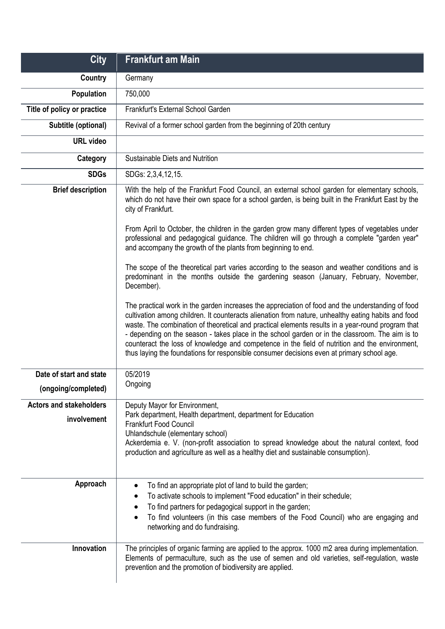| <b>City</b>                                    | <b>Frankfurt am Main</b>                                                                                                                                                                                                                                                                                                                                                                                                                                                                                                                                                                                         |
|------------------------------------------------|------------------------------------------------------------------------------------------------------------------------------------------------------------------------------------------------------------------------------------------------------------------------------------------------------------------------------------------------------------------------------------------------------------------------------------------------------------------------------------------------------------------------------------------------------------------------------------------------------------------|
| <b>Country</b>                                 | Germany                                                                                                                                                                                                                                                                                                                                                                                                                                                                                                                                                                                                          |
| <b>Population</b>                              | 750,000                                                                                                                                                                                                                                                                                                                                                                                                                                                                                                                                                                                                          |
| Title of policy or practice                    | Frankfurt's External School Garden                                                                                                                                                                                                                                                                                                                                                                                                                                                                                                                                                                               |
| Subtitle (optional)                            | Revival of a former school garden from the beginning of 20th century                                                                                                                                                                                                                                                                                                                                                                                                                                                                                                                                             |
| <b>URL video</b>                               |                                                                                                                                                                                                                                                                                                                                                                                                                                                                                                                                                                                                                  |
| Category                                       | Sustainable Diets and Nutrition                                                                                                                                                                                                                                                                                                                                                                                                                                                                                                                                                                                  |
| <b>SDGs</b>                                    | SDGs: 2,3,4,12,15.                                                                                                                                                                                                                                                                                                                                                                                                                                                                                                                                                                                               |
| <b>Brief description</b>                       | With the help of the Frankfurt Food Council, an external school garden for elementary schools,<br>which do not have their own space for a school garden, is being built in the Frankfurt East by the<br>city of Frankfurt.<br>From April to October, the children in the garden grow many different types of vegetables under<br>professional and pedagogical guidance. The children will go through a complete "garden year"<br>and accompany the growth of the plants from beginning to end.                                                                                                                   |
|                                                | The scope of the theoretical part varies according to the season and weather conditions and is<br>predominant in the months outside the gardening season (January, February, November,<br>December).                                                                                                                                                                                                                                                                                                                                                                                                             |
|                                                | The practical work in the garden increases the appreciation of food and the understanding of food<br>cultivation among children. It counteracts alienation from nature, unhealthy eating habits and food<br>waste. The combination of theoretical and practical elements results in a year-round program that<br>- depending on the season - takes place in the school garden or in the classroom. The aim is to<br>counteract the loss of knowledge and competence in the field of nutrition and the environment,<br>thus laying the foundations for responsible consumer decisions even at primary school age. |
| Date of start and state<br>(ongoing/completed) | 05/2019<br>Ongoing                                                                                                                                                                                                                                                                                                                                                                                                                                                                                                                                                                                               |
| <b>Actors and stakeholders</b>                 | Deputy Mayor for Environment,                                                                                                                                                                                                                                                                                                                                                                                                                                                                                                                                                                                    |
| involvement                                    | Park department, Health department, department for Education<br><b>Frankfurt Food Council</b><br>Uhlandschule (elementary school)<br>Ackerdemia e. V. (non-profit association to spread knowledge about the natural context, food<br>production and agriculture as well as a healthy diet and sustainable consumption).                                                                                                                                                                                                                                                                                          |
| Approach                                       | To find an appropriate plot of land to build the garden;<br>٠<br>To activate schools to implement "Food education" in their schedule;<br>To find partners for pedagogical support in the garden;<br>٠<br>To find volunteers (in this case members of the Food Council) who are engaging and<br>networking and do fundraising.                                                                                                                                                                                                                                                                                    |
| Innovation                                     | The principles of organic farming are applied to the approx. 1000 m2 area during implementation.<br>Elements of permaculture, such as the use of semen and old varieties, self-regulation, waste<br>prevention and the promotion of biodiversity are applied.                                                                                                                                                                                                                                                                                                                                                    |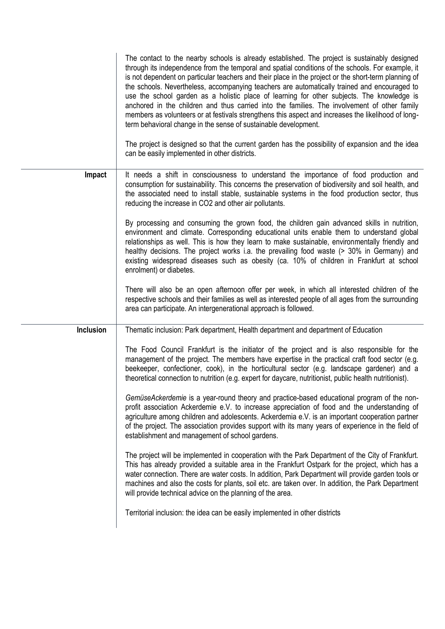|           | The contact to the nearby schools is already established. The project is sustainably designed<br>through its independence from the temporal and spatial conditions of the schools. For example, it<br>is not dependent on particular teachers and their place in the project or the short-term planning of<br>the schools. Nevertheless, accompanying teachers are automatically trained and encouraged to<br>use the school garden as a holistic place of learning for other subjects. The knowledge is<br>anchored in the children and thus carried into the families. The involvement of other family<br>members as volunteers or at festivals strengthens this aspect and increases the likelihood of long-<br>term behavioral change in the sense of sustainable development.<br>The project is designed so that the current garden has the possibility of expansion and the idea<br>can be easily implemented in other districts. |
|-----------|-----------------------------------------------------------------------------------------------------------------------------------------------------------------------------------------------------------------------------------------------------------------------------------------------------------------------------------------------------------------------------------------------------------------------------------------------------------------------------------------------------------------------------------------------------------------------------------------------------------------------------------------------------------------------------------------------------------------------------------------------------------------------------------------------------------------------------------------------------------------------------------------------------------------------------------------|
| Impact    | It needs a shift in consciousness to understand the importance of food production and<br>consumption for sustainability. This concerns the preservation of biodiversity and soil health, and<br>the associated need to install stable, sustainable systems in the food production sector, thus<br>reducing the increase in CO2 and other air pollutants.                                                                                                                                                                                                                                                                                                                                                                                                                                                                                                                                                                                |
|           | By processing and consuming the grown food, the children gain advanced skills in nutrition,<br>environment and climate. Corresponding educational units enable them to understand global<br>relationships as well. This is how they learn to make sustainable, environmentally friendly and<br>healthy decisions. The project works i.a. the prevailing food waste (> 30% in Germany) and<br>existing widespread diseases such as obesity (ca. 10% of children in Frankfurt at school<br>enrolment) or diabetes.                                                                                                                                                                                                                                                                                                                                                                                                                        |
|           | There will also be an open afternoon offer per week, in which all interested children of the<br>respective schools and their families as well as interested people of all ages from the surrounding<br>area can participate. An intergenerational approach is followed.                                                                                                                                                                                                                                                                                                                                                                                                                                                                                                                                                                                                                                                                 |
| Inclusion | Thematic inclusion: Park department, Health department and department of Education                                                                                                                                                                                                                                                                                                                                                                                                                                                                                                                                                                                                                                                                                                                                                                                                                                                      |
|           | The Food Council Frankfurt is the initiator of the project and is also responsible for the<br>management of the project. The members have expertise in the practical craft food sector (e.g.<br>beekeeper, confectioner, cook), in the horticultural sector (e.g. landscape gardener) and a<br>theoretical connection to nutrition (e.g. expert for daycare, nutritionist, public health nutritionist).                                                                                                                                                                                                                                                                                                                                                                                                                                                                                                                                 |
|           | GemüseAckerdemie is a year-round theory and practice-based educational program of the non-<br>profit association Ackerdemie e.V. to increase appreciation of food and the understanding of<br>agriculture among children and adolescents. Ackerdemia e.V. is an important cooperation partner<br>of the project. The association provides support with its many years of experience in the field of<br>establishment and management of school gardens.                                                                                                                                                                                                                                                                                                                                                                                                                                                                                  |
|           | The project will be implemented in cooperation with the Park Department of the City of Frankfurt.<br>This has already provided a suitable area in the Frankfurt Ostpark for the project, which has a<br>water connection. There are water costs. In addition, Park Department will provide garden tools or<br>machines and also the costs for plants, soil etc. are taken over. In addition, the Park Department<br>will provide technical advice on the planning of the area.                                                                                                                                                                                                                                                                                                                                                                                                                                                          |
|           | Territorial inclusion: the idea can be easily implemented in other districts                                                                                                                                                                                                                                                                                                                                                                                                                                                                                                                                                                                                                                                                                                                                                                                                                                                            |